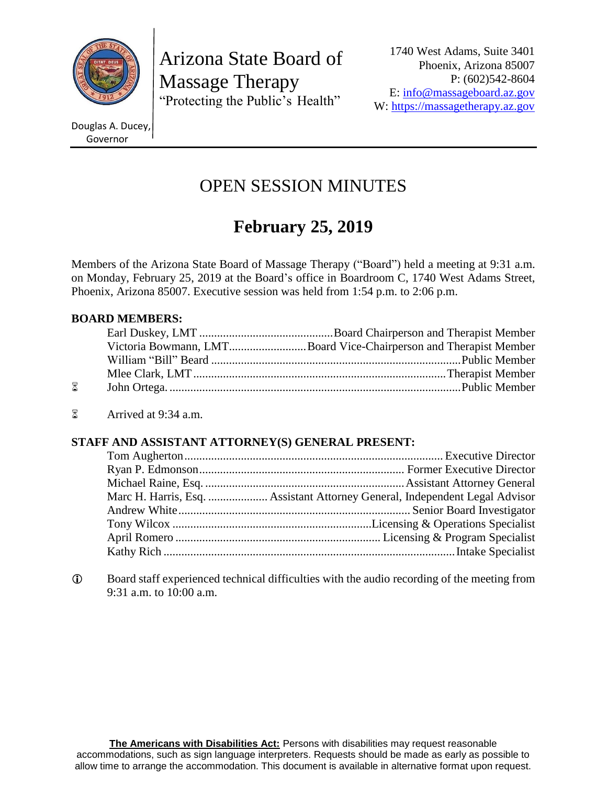

Arizona State Board of Massage Therapy "Protecting the Public's Health"

Douglas A. Ducey, Governor

# OPEN SESSION MINUTES

# **February 25, 2019**

Members of the Arizona State Board of Massage Therapy ("Board") held a meeting at 9:31 a.m. on Monday, February 25, 2019 at the Board's office in Boardroom C, 1740 West Adams Street, Phoenix, Arizona 85007. Executive session was held from 1:54 p.m. to 2:06 p.m.

# **BOARD MEMBERS:**

|            | Victoria Bowmann, LMTBoard Vice-Chairperson and Therapist Member |
|------------|------------------------------------------------------------------|
|            |                                                                  |
|            |                                                                  |
| $^{\circ}$ |                                                                  |

Arrived at 9:34 a.m.

# **STAFF AND ASSISTANT ATTORNEY(S) GENERAL PRESENT:**

 Board staff experienced technical difficulties with the audio recording of the meeting from 9:31 a.m. to 10:00 a.m.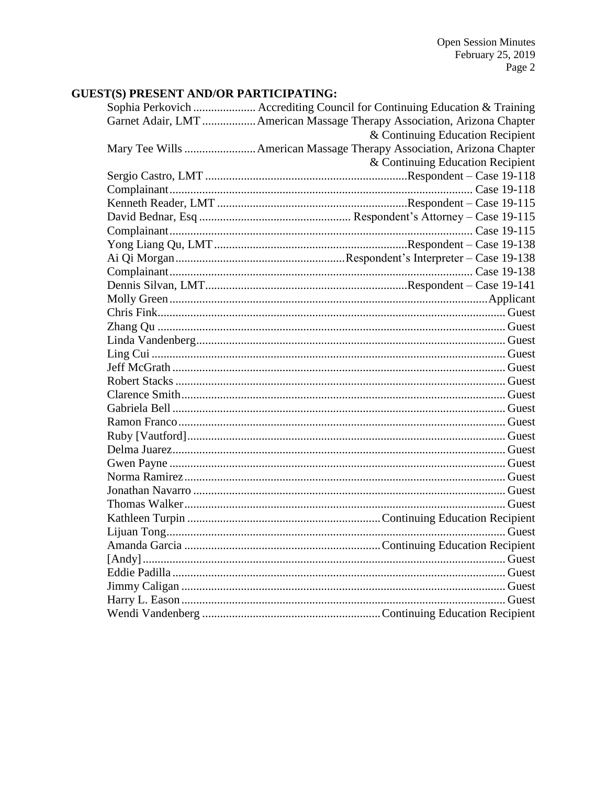# **GUEST(S) PRESENT AND/OR PARTICIPATING:**

| Sophia Perkovich  Accrediting Council for Continuing Education & Training |
|---------------------------------------------------------------------------|
| Garnet Adair, LMT  American Massage Therapy Association, Arizona Chapter  |
| & Continuing Education Recipient                                          |
| Mary Tee Wills  American Massage Therapy Association, Arizona Chapter     |
| & Continuing Education Recipient                                          |
|                                                                           |
|                                                                           |
|                                                                           |
|                                                                           |
|                                                                           |
|                                                                           |
|                                                                           |
|                                                                           |
|                                                                           |
|                                                                           |
|                                                                           |
|                                                                           |
|                                                                           |
|                                                                           |
|                                                                           |
|                                                                           |
|                                                                           |
|                                                                           |
|                                                                           |
|                                                                           |
|                                                                           |
|                                                                           |
|                                                                           |
|                                                                           |
|                                                                           |
|                                                                           |
|                                                                           |
|                                                                           |
|                                                                           |
|                                                                           |
|                                                                           |
|                                                                           |
|                                                                           |
|                                                                           |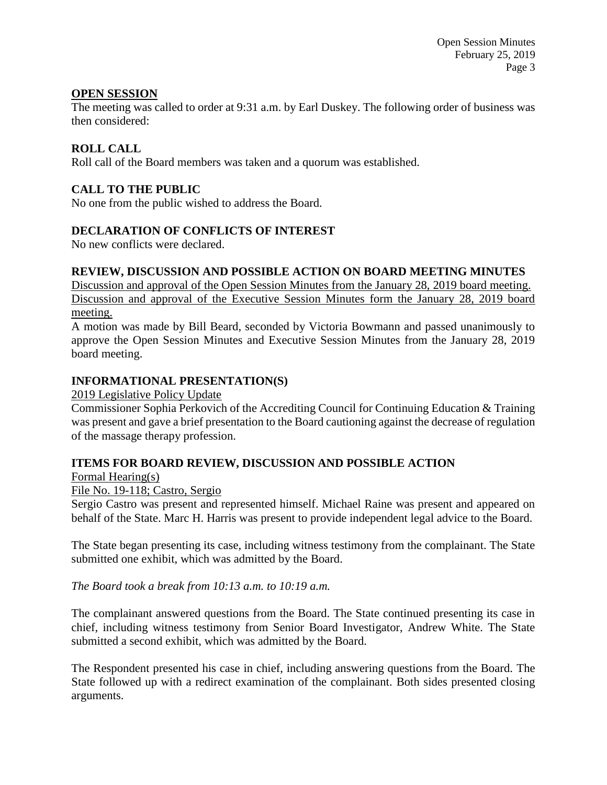# **OPEN SESSION**

The meeting was called to order at 9:31 a.m. by Earl Duskey. The following order of business was then considered:

# **ROLL CALL**

Roll call of the Board members was taken and a quorum was established.

# **CALL TO THE PUBLIC**

No one from the public wished to address the Board.

#### **DECLARATION OF CONFLICTS OF INTEREST**

No new conflicts were declared.

#### **REVIEW, DISCUSSION AND POSSIBLE ACTION ON BOARD MEETING MINUTES**

Discussion and approval of the Open Session Minutes from the January 28, 2019 board meeting. Discussion and approval of the Executive Session Minutes form the January 28, 2019 board meeting.

A motion was made by Bill Beard, seconded by Victoria Bowmann and passed unanimously to approve the Open Session Minutes and Executive Session Minutes from the January 28, 2019 board meeting.

# **INFORMATIONAL PRESENTATION(S)**

2019 Legislative Policy Update

Commissioner Sophia Perkovich of the Accrediting Council for Continuing Education & Training was present and gave a brief presentation to the Board cautioning against the decrease of regulation of the massage therapy profession.

#### **ITEMS FOR BOARD REVIEW, DISCUSSION AND POSSIBLE ACTION**

Formal Hearing(s)

File No. 19-118; Castro, Sergio

Sergio Castro was present and represented himself. Michael Raine was present and appeared on behalf of the State. Marc H. Harris was present to provide independent legal advice to the Board.

The State began presenting its case, including witness testimony from the complainant. The State submitted one exhibit, which was admitted by the Board.

*The Board took a break from 10:13 a.m. to 10:19 a.m.*

The complainant answered questions from the Board. The State continued presenting its case in chief, including witness testimony from Senior Board Investigator, Andrew White. The State submitted a second exhibit, which was admitted by the Board.

The Respondent presented his case in chief, including answering questions from the Board. The State followed up with a redirect examination of the complainant. Both sides presented closing arguments.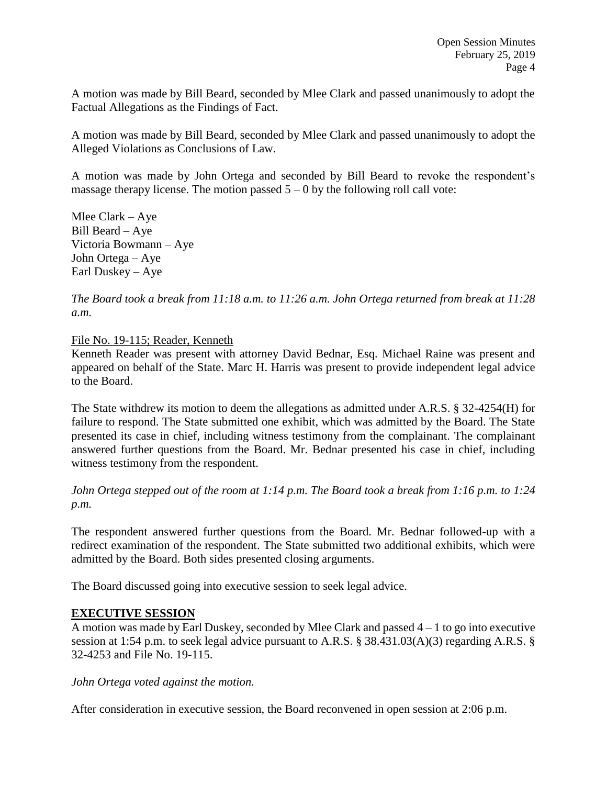A motion was made by Bill Beard, seconded by Mlee Clark and passed unanimously to adopt the Factual Allegations as the Findings of Fact.

A motion was made by Bill Beard, seconded by Mlee Clark and passed unanimously to adopt the Alleged Violations as Conclusions of Law.

A motion was made by John Ortega and seconded by Bill Beard to revoke the respondent's massage therapy license. The motion passed  $5 - 0$  by the following roll call vote:

Mlee Clark – Aye Bill Beard – Aye Victoria Bowmann – Aye John Ortega – Aye Earl Duskey – Aye

*The Board took a break from 11:18 a.m. to 11:26 a.m. John Ortega returned from break at 11:28 a.m.*

File No. 19-115; Reader, Kenneth

Kenneth Reader was present with attorney David Bednar, Esq. Michael Raine was present and appeared on behalf of the State. Marc H. Harris was present to provide independent legal advice to the Board.

The State withdrew its motion to deem the allegations as admitted under A.R.S. § 32-4254(H) for failure to respond. The State submitted one exhibit, which was admitted by the Board. The State presented its case in chief, including witness testimony from the complainant. The complainant answered further questions from the Board. Mr. Bednar presented his case in chief, including witness testimony from the respondent.

*John Ortega stepped out of the room at 1:14 p.m. The Board took a break from 1:16 p.m. to 1:24 p.m.*

The respondent answered further questions from the Board. Mr. Bednar followed-up with a redirect examination of the respondent. The State submitted two additional exhibits, which were admitted by the Board. Both sides presented closing arguments.

The Board discussed going into executive session to seek legal advice.

#### **EXECUTIVE SESSION**

A motion was made by Earl Duskey, seconded by Mlee Clark and passed  $4 - 1$  to go into executive session at 1:54 p.m. to seek legal advice pursuant to A.R.S. § 38.431.03(A)(3) regarding A.R.S. § 32-4253 and File No. 19-115.

*John Ortega voted against the motion.*

After consideration in executive session, the Board reconvened in open session at 2:06 p.m.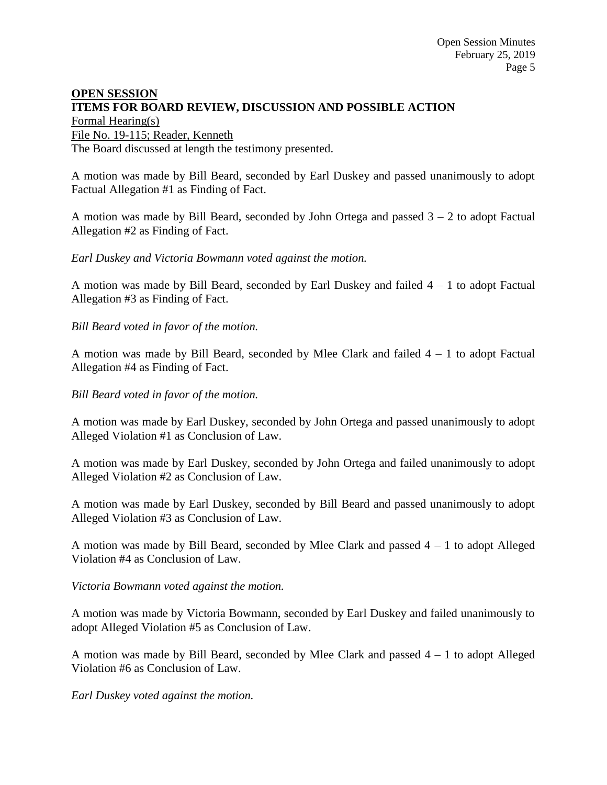# **OPEN SESSION ITEMS FOR BOARD REVIEW, DISCUSSION AND POSSIBLE ACTION** Formal Hearing(s)

File No. 19-115; Reader, Kenneth

The Board discussed at length the testimony presented.

A motion was made by Bill Beard, seconded by Earl Duskey and passed unanimously to adopt Factual Allegation #1 as Finding of Fact.

A motion was made by Bill Beard, seconded by John Ortega and passed  $3 - 2$  to adopt Factual Allegation #2 as Finding of Fact.

*Earl Duskey and Victoria Bowmann voted against the motion.*

A motion was made by Bill Beard, seconded by Earl Duskey and failed  $4 - 1$  to adopt Factual Allegation #3 as Finding of Fact.

*Bill Beard voted in favor of the motion.*

A motion was made by Bill Beard, seconded by Mlee Clark and failed  $4 - 1$  to adopt Factual Allegation #4 as Finding of Fact.

*Bill Beard voted in favor of the motion.*

A motion was made by Earl Duskey, seconded by John Ortega and passed unanimously to adopt Alleged Violation #1 as Conclusion of Law.

A motion was made by Earl Duskey, seconded by John Ortega and failed unanimously to adopt Alleged Violation #2 as Conclusion of Law.

A motion was made by Earl Duskey, seconded by Bill Beard and passed unanimously to adopt Alleged Violation #3 as Conclusion of Law.

A motion was made by Bill Beard, seconded by Mlee Clark and passed 4 – 1 to adopt Alleged Violation #4 as Conclusion of Law.

#### *Victoria Bowmann voted against the motion.*

A motion was made by Victoria Bowmann, seconded by Earl Duskey and failed unanimously to adopt Alleged Violation #5 as Conclusion of Law.

A motion was made by Bill Beard, seconded by Mlee Clark and passed  $4 - 1$  to adopt Alleged Violation #6 as Conclusion of Law.

*Earl Duskey voted against the motion.*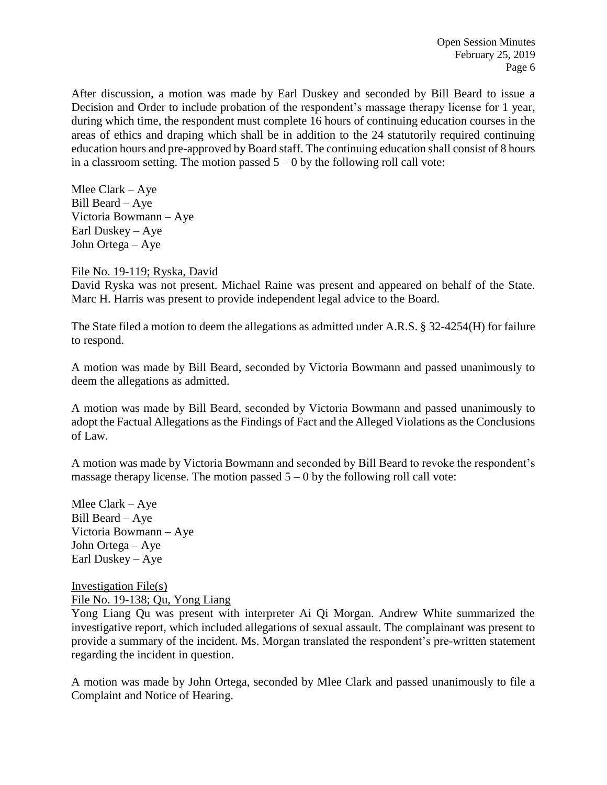After discussion, a motion was made by Earl Duskey and seconded by Bill Beard to issue a Decision and Order to include probation of the respondent's massage therapy license for 1 year, during which time, the respondent must complete 16 hours of continuing education courses in the areas of ethics and draping which shall be in addition to the 24 statutorily required continuing education hours and pre-approved by Board staff. The continuing education shall consist of 8 hours in a classroom setting. The motion passed  $5 - 0$  by the following roll call vote:

Mlee Clark – Aye Bill Beard – Aye Victoria Bowmann – Aye Earl Duskey – Aye John Ortega – Aye

File No. 19-119; Ryska, David

David Ryska was not present. Michael Raine was present and appeared on behalf of the State. Marc H. Harris was present to provide independent legal advice to the Board.

The State filed a motion to deem the allegations as admitted under A.R.S. § 32-4254(H) for failure to respond.

A motion was made by Bill Beard, seconded by Victoria Bowmann and passed unanimously to deem the allegations as admitted.

A motion was made by Bill Beard, seconded by Victoria Bowmann and passed unanimously to adopt the Factual Allegations as the Findings of Fact and the Alleged Violations as the Conclusions of Law.

A motion was made by Victoria Bowmann and seconded by Bill Beard to revoke the respondent's massage therapy license. The motion passed  $5 - 0$  by the following roll call vote:

Mlee Clark – Aye Bill Beard – Aye Victoria Bowmann – Aye John Ortega – Aye Earl Duskey – Aye

Investigation File(s) File No. 19-138; Qu, Yong Liang

Yong Liang Qu was present with interpreter Ai Qi Morgan. Andrew White summarized the investigative report, which included allegations of sexual assault. The complainant was present to provide a summary of the incident. Ms. Morgan translated the respondent's pre-written statement regarding the incident in question.

A motion was made by John Ortega, seconded by Mlee Clark and passed unanimously to file a Complaint and Notice of Hearing.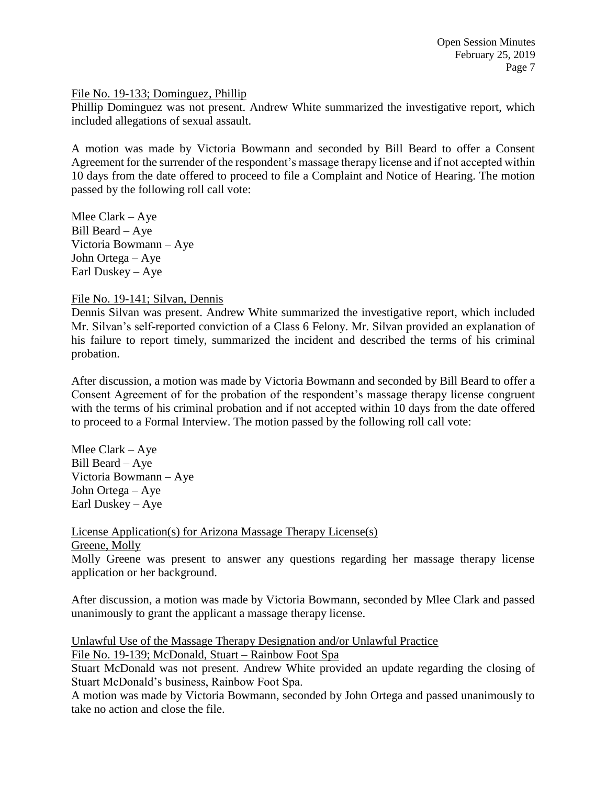#### File No. 19-133; Dominguez, Phillip

Phillip Dominguez was not present. Andrew White summarized the investigative report, which included allegations of sexual assault.

A motion was made by Victoria Bowmann and seconded by Bill Beard to offer a Consent Agreement for the surrender of the respondent's massage therapy license and if not accepted within 10 days from the date offered to proceed to file a Complaint and Notice of Hearing. The motion passed by the following roll call vote:

Mlee Clark – Aye Bill Beard – Aye Victoria Bowmann – Aye John Ortega – Aye Earl Duskey – Aye

#### File No. 19-141; Silvan, Dennis

Dennis Silvan was present. Andrew White summarized the investigative report, which included Mr. Silvan's self-reported conviction of a Class 6 Felony. Mr. Silvan provided an explanation of his failure to report timely, summarized the incident and described the terms of his criminal probation.

After discussion, a motion was made by Victoria Bowmann and seconded by Bill Beard to offer a Consent Agreement of for the probation of the respondent's massage therapy license congruent with the terms of his criminal probation and if not accepted within 10 days from the date offered to proceed to a Formal Interview. The motion passed by the following roll call vote:

Mlee Clark – Aye Bill Beard – Aye Victoria Bowmann – Aye John Ortega – Aye Earl Duskey – Aye

License Application(s) for Arizona Massage Therapy License(s)

Greene, Molly

Molly Greene was present to answer any questions regarding her massage therapy license application or her background.

After discussion, a motion was made by Victoria Bowmann, seconded by Mlee Clark and passed unanimously to grant the applicant a massage therapy license.

Unlawful Use of the Massage Therapy Designation and/or Unlawful Practice

File No. 19-139; McDonald, Stuart – Rainbow Foot Spa

Stuart McDonald was not present. Andrew White provided an update regarding the closing of Stuart McDonald's business, Rainbow Foot Spa.

A motion was made by Victoria Bowmann, seconded by John Ortega and passed unanimously to take no action and close the file.